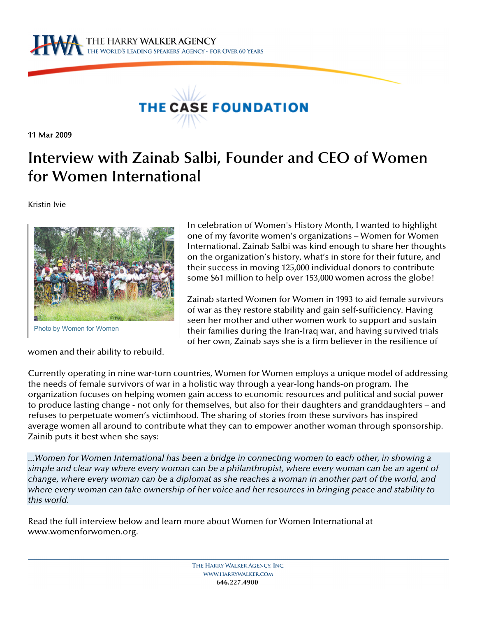



11 Mar 2009

# **Interview with Zainab Salbi, Founder and CEO of Women for Women International**

Kristin Ivie



In celebration of Women's History Month, I wanted to highlight one of my favorite women's organizations – Women for Women International. Zainab Salbi was kind enough to share her thoughts on the organization's history, what's in store for their future, and their success in moving 125,000 individual donors to contribute some \$61 million to help over 153,000 women across the globe!

Zainab started Women for Women in 1993 to aid female survivors of war as they restore stability and gain self-sufficiency. Having seen her mother and other women work to support and sustain their families during the Iran-Iraq war, and having survived trials of her own, Zainab says she is a firm believer in the resilience of

women and their ability to rebuild.

Currently operating in nine war-torn countries, Women for Women employs a unique model of addressing the needs of female survivors of war in a holistic way through a year-long hands-on program. The organization focuses on helping women gain access to economic resources and political and social power to produce lasting change - not only for themselves, but also for their daughters and granddaughters – and refuses to perpetuate women's victimhood. The sharing of stories from these survivors has inspired average women all around to contribute what they can to empower another woman through sponsorship. Zainib puts it best when she says:

*...Women for Women International has been a bridge in connecting women to each other, in showing a simple and clear way where every woman can be a philanthropist, where every woman can be an agent of change, where every woman can be a diplomat as she reaches a woman in another part of the world, and where every woman can take ownership of her voice and her resources in bringing peace and stability to this world.* 

Read the full interview below and learn more about Women for Women International at www.womenforwomen.org.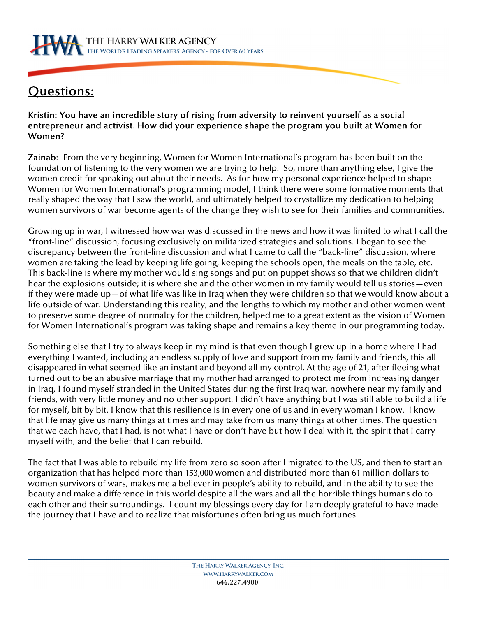

## Questions:

Kristin: You have an incredible story of rising from adversity to reinvent yourself as a social entrepreneur and activist. How did your experience shape the program you built at Women for Women?

Zainab: From the very beginning, Women for Women International's program has been built on the foundation of listening to the very women we are trying to help. So, more than anything else, I give the women credit for speaking out about their needs. As for how my personal experience helped to shape Women for Women International's programming model, I think there were some formative moments that really shaped the way that I saw the world, and ultimately helped to crystallize my dedication to helping women survivors of war become agents of the change they wish to see for their families and communities.

Growing up in war, I witnessed how war was discussed in the news and how it was limited to what I call the "front-line" discussion, focusing exclusively on militarized strategies and solutions. I began to see the discrepancy between the front-line discussion and what I came to call the "back-line" discussion, where women are taking the lead by keeping life going, keeping the schools open, the meals on the table, etc. This back-line is where my mother would sing songs and put on puppet shows so that we children didn't hear the explosions outside; it is where she and the other women in my family would tell us stories—even if they were made up—of what life was like in Iraq when they were children so that we would know about a life outside of war. Understanding this reality, and the lengths to which my mother and other women went to preserve some degree of normalcy for the children, helped me to a great extent as the vision of Women for Women International's program was taking shape and remains a key theme in our programming today.

Something else that I try to always keep in my mind is that even though I grew up in a home where I had everything I wanted, including an endless supply of love and support from my family and friends, this all disappeared in what seemed like an instant and beyond all my control. At the age of 21, after fleeing what turned out to be an abusive marriage that my mother had arranged to protect me from increasing danger in Iraq, I found myself stranded in the United States during the first Iraq war, nowhere near my family and friends, with very little money and no other support. I didn't have anything but I was still able to build a life for myself, bit by bit. I know that this resilience is in every one of us and in every woman I know. I know that life may give us many things at times and may take from us many things at other times. The question that we each have, that I had, is not what I have or don't have but how I deal with it, the spirit that I carry myself with, and the belief that I can rebuild.

The fact that I was able to rebuild my life from zero so soon after I migrated to the US, and then to start an organization that has helped more than 153,000 women and distributed more than 61 million dollars to women survivors of wars, makes me a believer in people's ability to rebuild, and in the ability to see the beauty and make a difference in this world despite all the wars and all the horrible things humans do to each other and their surroundings. I count my blessings every day for I am deeply grateful to have made the journey that I have and to realize that misfortunes often bring us much fortunes.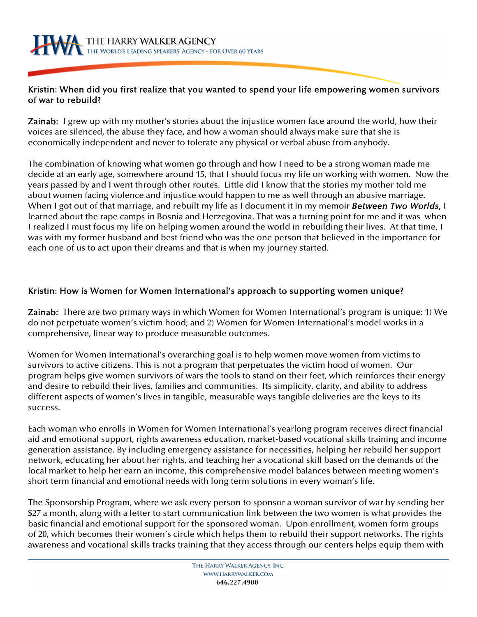### Kristin: When did you first realize that you wanted to spend your life empowering women survivors of war to rebuild?

Zainab: I grew up with my mother's stories about the injustice women face around the world, how their voices are silenced, the abuse they face, and how a woman should always make sure that she is economically independent and never to tolerate any physical or verbal abuse from anybody.

The combination of knowing what women go through and how I need to be a strong woman made me decide at an early age, somewhere around 15, that I should focus my life on working with women. Now the years passed by and I went through other routes. Little did I know that the stories my mother told me about women facing violence and injustice would happen to me as well through an abusive marriage. When I got out of that marriage, and rebuilt my life as I document it in my memoir *Between Two Worlds*, I learned about the rape camps in Bosnia and Herzegovina. That was a turning point for me and it was when I realized I must focus my life on helping women around the world in rebuilding their lives. At that time, I was with my former husband and best friend who was the one person that believed in the importance for each one of us to act upon their dreams and that is when my journey started.

### Kristin: How is Women for Women International's approach to supporting women unique?

Zainab: There are two primary ways in which Women for Women International's program is unique: 1) We do not perpetuate women's victim hood; and 2) Women for Women International's model works in a comprehensive, linear way to produce measurable outcomes.

Women for Women International's overarching goal is to help women move women from victims to survivors to active citizens. This is not a program that perpetuates the victim hood of women. Our program helps give women survivors of wars the tools to stand on their feet, which reinforces their energy and desire to rebuild their lives, families and communities. Its simplicity, clarity, and ability to address different aspects of women's lives in tangible, measurable ways tangible deliveries are the keys to its success.

Each woman who enrolls in Women for Women International's yearlong program receives direct financial aid and emotional support, rights awareness education, market-based vocational skills training and income generation assistance. By including emergency assistance for necessities, helping her rebuild her support network, educating her about her rights, and teaching her a vocational skill based on the demands of the local market to help her earn an income, this comprehensive model balances between meeting women's short term financial and emotional needs with long term solutions in every woman's life.

The Sponsorship Program, where we ask every person to sponsor a woman survivor of war by sending her \$27 a month, along with a letter to start communication link between the two women is what provides the basic financial and emotional support for the sponsored woman. Upon enrollment, women form groups of 20, which becomes their women's circle which helps them to rebuild their support networks. The rights awareness and vocational skills tracks training that they access through our centers helps equip them with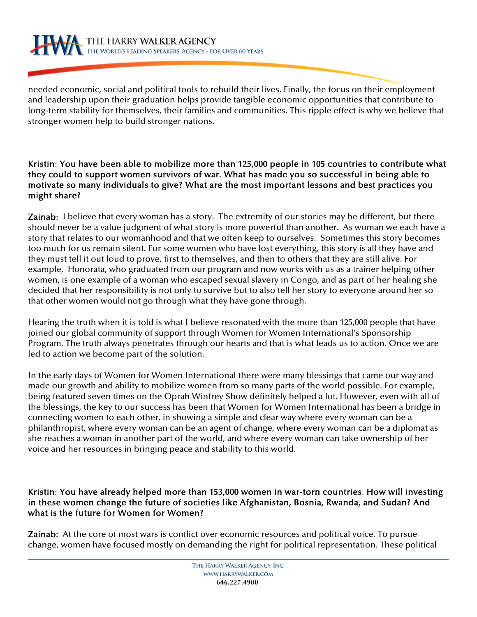needed economic, social and political tools to rebuild their lives. Finally, the focus on their employment and leadership upon their graduation helps provide tangible economic opportunities that contribute to long-term stability for themselves, their families and communities. This ripple effect is why we believe that stronger women help to build stronger nations.

### Kristin: You have been able to mobilize more than 125,000 people in 105 countries to contribute what they could to support women survivors of war. What has made you so successful in being able to motivate so many individuals to give? What are the most important lessons and best practices you might share?

Zainab: I believe that every woman has a story. The extremity of our stories may be different, but there should never be a value judgment of what story is more powerful than another. As woman we each have a story that relates to our womanhood and that we often keep to ourselves. Sometimes this story becomes too much for us remain silent. For some women who have lost everything, this story is all they have and they must tell it out loud to prove, first to themselves, and then to others that they are still alive. For example, Honorata, who graduated from our program and now works with us as a trainer helping other women, is one example of a woman who escaped sexual slavery in Congo, and as part of her healing she decided that her responsibility is not only to survive but to also tell her story to everyone around her so that other women would not go through what they have gone through.

Hearing the truth when it is told is what I believe resonated with the more than 125,000 people that have joined our global community of support through Women for Women International's Sponsorship Program. The truth always penetrates through our hearts and that is what leads us to action. Once we are led to action we become part of the solution.

In the early days of Women for Women International there were many blessings that came our way and made our growth and ability to mobilize women from so many parts of the world possible. For example, being featured seven times on the Oprah Winfrey Show definitely helped a lot. However, even with all of the blessings, the key to our success has been that Women for Women International has been a bridge in connecting women to each other, in showing a simple and clear way where every woman can be a philanthropist, where every woman can be an agent of change, where every woman can be a diplomat as she reaches a woman in another part of the world, and where every woman can take ownership of her voice and her resources in bringing peace and stability to this world.

### Kristin: You have already helped more than 153,000 women in war-torn countries. How will investing in these women change the future of societies like Afghanistan, Bosnia, Rwanda, and Sudan? And what is the future for Women for Women?

Zainab: At the core of most wars is conflict over economic resources and political voice. To pursue change, women have focused mostly on demanding the right for political representation. These political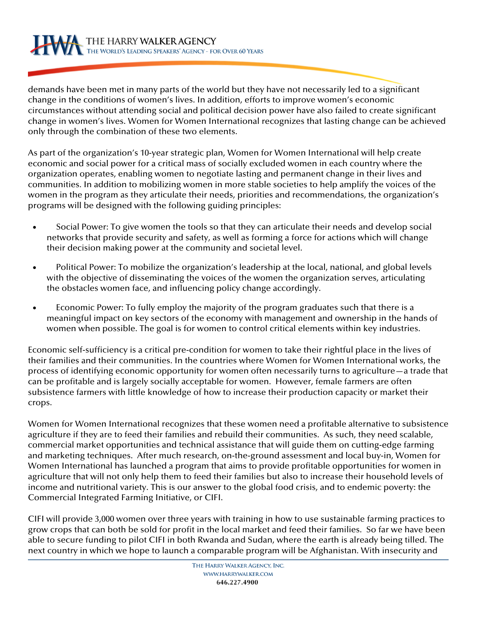demands have been met in many parts of the world but they have not necessarily led to a significant change in the conditions of women's lives. In addition, efforts to improve women's economic circumstances without attending social and political decision power have also failed to create significant change in women's lives. Women for Women International recognizes that lasting change can be achieved only through the combination of these two elements.

As part of the organization's 10-year strategic plan, Women for Women International will help create economic and social power for a critical mass of socially excluded women in each country where the organization operates, enabling women to negotiate lasting and permanent change in their lives and communities. In addition to mobilizing women in more stable societies to help amplify the voices of the women in the program as they articulate their needs, priorities and recommendations, the organization's programs will be designed with the following guiding principles:

- Social Power: To give women the tools so that they can articulate their needs and develop social networks that provide security and safety, as well as forming a force for actions which will change their decision making power at the community and societal level.
- Political Power: To mobilize the organization's leadership at the local, national, and global levels with the objective of disseminating the voices of the women the organization serves, articulating the obstacles women face, and influencing policy change accordingly.
- Economic Power: To fully employ the majority of the program graduates such that there is a meaningful impact on key sectors of the economy with management and ownership in the hands of women when possible. The goal is for women to control critical elements within key industries.

Economic self-sufficiency is a critical pre-condition for women to take their rightful place in the lives of their families and their communities. In the countries where Women for Women International works, the process of identifying economic opportunity for women often necessarily turns to agriculture—a trade that can be profitable and is largely socially acceptable for women. However, female farmers are often subsistence farmers with little knowledge of how to increase their production capacity or market their crops.

Women for Women International recognizes that these women need a profitable alternative to subsistence agriculture if they are to feed their families and rebuild their communities. As such, they need scalable, commercial market opportunities and technical assistance that will guide them on cutting-edge farming and marketing techniques. After much research, on-the-ground assessment and local buy-in, Women for Women International has launched a program that aims to provide profitable opportunities for women in agriculture that will not only help them to feed their families but also to increase their household levels of income and nutritional variety. This is our answer to the global food crisis, and to endemic poverty: the Commercial Integrated Farming Initiative, or CIFI.

CIFI will provide 3,000 women over three years with training in how to use sustainable farming practices to grow crops that can both be sold for profit in the local market and feed their families. So far we have been able to secure funding to pilot CIFI in both Rwanda and Sudan, where the earth is already being tilled. The next country in which we hope to launch a comparable program will be Afghanistan. With insecurity and